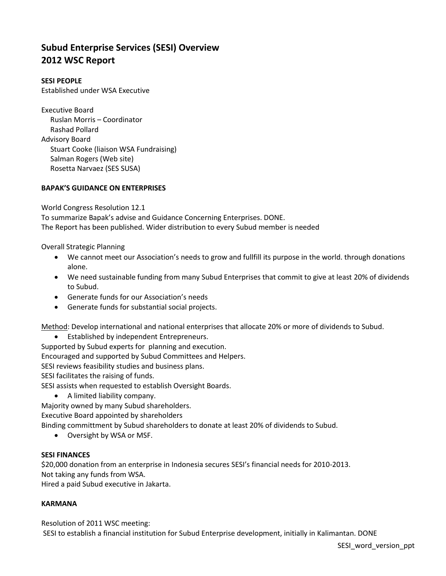# **Subud Enterprise Services (SESI) Overview 2012 WSC Report**

## **SESI PEOPLE**

Established under WSA Executive

Executive Board Ruslan Morris – Coordinator Rashad Pollard Advisory Board Stuart Cooke (liaison WSA Fundraising) Salman Rogers (Web site) Rosetta Narvaez (SES SUSA)

## **BAPAK'S GUIDANCE ON ENTERPRISES**

World Congress Resolution 12.1

To summarize Bapak's advise and Guidance Concerning Enterprises. DONE. The Report has been published. Wider distribution to every Subud member is needed

Overall Strategic Planning

- We cannot meet our Association's needs to grow and fullfill its purpose in the world. through donations alone.
- We need sustainable funding from many Subud Enterprises that commit to give at least 20% of dividends to Subud.
- Generate funds for our Association's needs
- Generate funds for substantial social projects.

Method: Develop international and national enterprises that allocate 20% or more of dividends to Subud.

Established by independent Entrepreneurs.

Supported by Subud experts for planning and execution.

Encouraged and supported by Subud Committees and Helpers.

SESI reviews feasibility studies and business plans.

SESI facilitates the raising of funds.

SESI assists when requested to establish Oversight Boards.

- A limited liability company.
- Majority owned by many Subud shareholders.

Executive Board appointed by shareholders

Binding committment by Subud shareholders to donate at least 20% of dividends to Subud.

Oversight by WSA or MSF.

### **SESI FINANCES**

\$20,000 donation from an enterprise in Indonesia secures SESI's financial needs for 2010-2013.

Not taking any funds from WSA.

Hired a paid Subud executive in Jakarta.

### **KARMANA**

Resolution of 2011 WSC meeting:

SESI to establish a financial institution for Subud Enterprise development, initially in Kalimantan. DONE